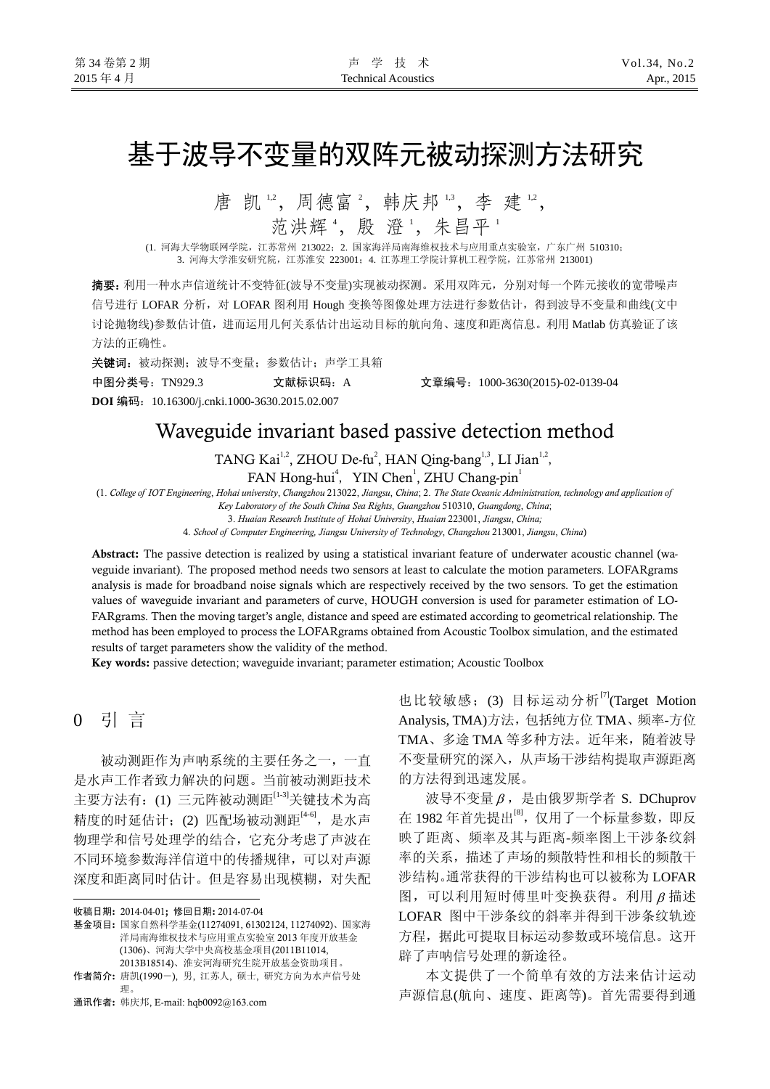# 基于波导不变量的双阵元被动探测方法研究

唐 凯 ", 周德富 ", 韩庆邦 ", 李 建 ",

范洪辉 4, 殷 澄 4, 朱昌平 1

 (1. 河海大学物联网学院,江苏常州 213022;2. 国家海洋局南海维权技术与应用重点实验室,广东广州 510310; 3. 河海大学淮安研究院,江苏淮安 223001;4. 江苏理工学院计算机工程学院,江苏常州 213001)

摘要:利用一种水声信道统计不变特征(波导不变量)实现被动探测。采用双阵元,分别对每一个阵元接收的宽带噪声 信号进行 LOFAR 分析, 对 LOFAR 图利用 Hough 变换等图像处理方法进行参数估计, 得到波导不变量和曲线(文中 讨论抛物线)参数估计值,进而运用几何关系估计出运动目标的航向角、速度和距离信息。利用 Matlab 仿真验证了该 方法的正确性。

关键词:被动探测;波导不变量;参数估计;声学工具箱

中图分类号:TN929.3 文献标识码:A 文章编号:1000-3630(2015)-02-0139-04

**DOI** 编码:10.16300/j.cnki.1000-3630.2015.02.007

## Waveguide invariant based passive detection method

TANG Kai<sup>1,2</sup>, ZHOU De-fu<sup>2</sup>, HAN Qing-bang<sup>1,3</sup>, LI Jian<sup>1,2</sup>, FAN Hong-hui<sup>4</sup>, YIN Chen<sup>1</sup>, ZHU Chang-pin<sup>1</sup>

(1. *College of IOT Engineering*, *Hohai university*, *Changzhou* 213022, *Jiangsu*, *China*; 2. *The State Oceanic Administration, technology and application of Key Laboratory of the South China Sea Rights*, *Guangzhou* 510310, *Guangdong*, *China*;

3. *Huaian Research Institute of Hohai University*, *Huaian* 223001, *Jiangsu*, *China;* 

4. *School of Computer Engineering, Jiangsu University of Technology*, *Changzhou* 213001, *Jiangsu*, *China*)

Abstract: The passive detection is realized by using a statistical invariant feature of underwater acoustic channel (waveguide invariant). The proposed method needs two sensors at least to calculate the motion parameters. LOFARgrams analysis is made for broadband noise signals which are respectively received by the two sensors. To get the estimation values of waveguide invariant and parameters of curve, HOUGH conversion is used for parameter estimation of LO-FARgrams. Then the moving target's angle, distance and speed are estimated according to geometrical relationship. The method has been employed to process the LOFARgrams obtained from Acoustic Toolbox simulation, and the estimated results of target parameters show the validity of the method.

Key words: passive detection; waveguide invariant; parameter estimation; Acoustic Toolbox

0 引 言

l

被动测距作为声呐系统的主要任务之一,一直 是水声工作者致力解决的问题。当前被动测距技术 主要方法有:(1) 三元阵被动测距[1-3]关键技术为高 精度的时延估计;(2) 匹配场被动测距[4-6],是水声 物理学和信号处理学的结合,它充分考虑了声波在 不同环境参数海洋信道中的传播规律,可以对声源 深度和距离同时估计。但是容易出现模糊,对失配

通讯作者: 韩庆邦, E-mail: hqb0092@163.com

也比较敏感;(3) 目标运动分析<sup>[7]</sup>(Target Motion Analysis, TMA)方法,包括纯方位 TMA、频率-方位 TMA、多途 TMA 等多种方法。近年来,随着波导 不变量研究的深入,从声场干涉结构提取声源距离 的方法得到迅速发展。

波导不变量  $\beta$ , 是由俄罗斯学者 S. DChuprov 在 1982年首先提出<sup>[8]</sup>, 仅用了一个标量参数, 即反 映了距离、频率及其与距离-频率图上干涉条纹斜 率的关系,描述了声场的频散特性和相长的频散干 涉结构。通常获得的干涉结构也可以被称为 LOFAR 图,可以利用短时傅里叶变换获得。利用 β 描述 LOFAR 图中干涉条纹的斜率并得到干涉条纹轨迹 方程,据此可提取目标运动参数或环境信息。这开 辟了声呐信号处理的新途径。

本文提供了一个简单有效的方法来估计运动 声源信息(航向、速度、距离等)。首先需要得到通

收稿日期: 2014-04-01; 修回日期: 2014-07-04

基金项目: 国家自然科学基金(11274091, 61302124, 11274092)、国家海 洋局南海维权技术与应用重点实验室 2013 年度开放基金 (1306)、河海大学中央高校基金项目(2011B11014, 2013B18514)、淮安河海研究生院开放基金资助项目。

作者简介: 唐凯(1990-), 男, 江苏人, 硕士, 研究方向为水声信号处 理。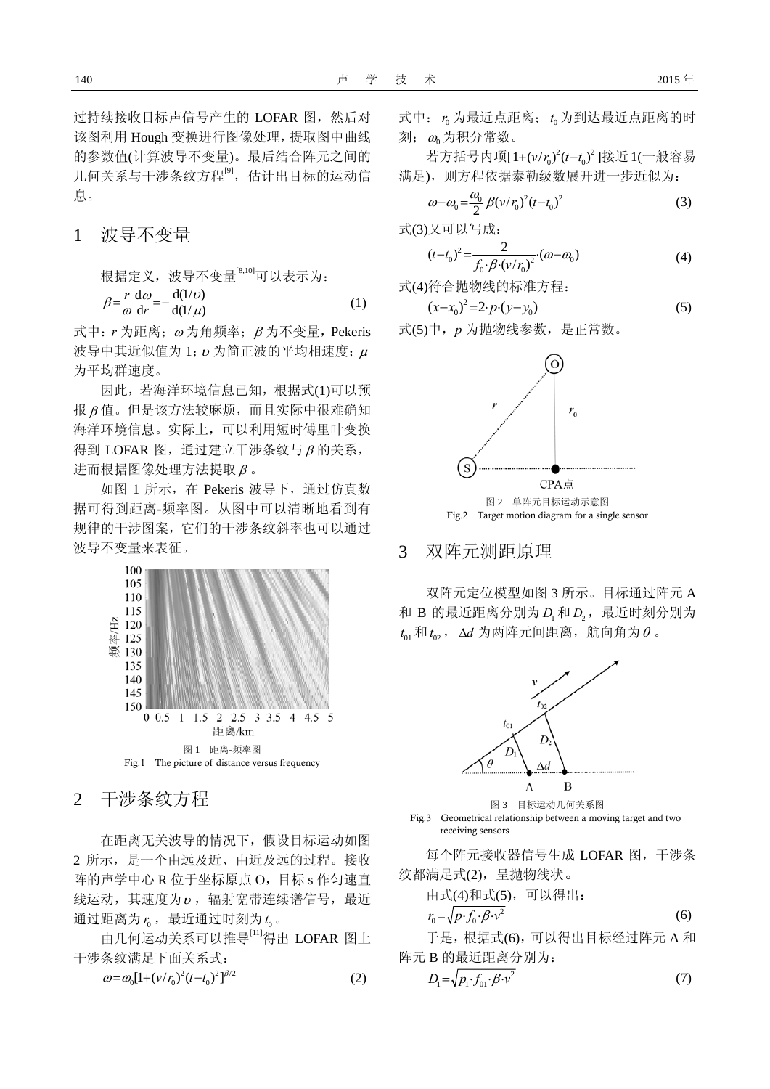过持续接收目标声信号产生的 LOFAR 图, 然后对 该图利用 Hough 变换进行图像处理,提取图中曲线 的参数值(计算波导不变量)。最后结合阵元之间的 几何关系与干涉条纹方程<sup>[9]</sup>,估计出目标的运动信 息。

1波导不变量

根据定义,波导不变量[8,10]可以表示为:

$$
\beta = \frac{r}{\omega} \frac{d\omega}{dr} = -\frac{d(1/\nu)}{d(1/\mu)}\tag{1}
$$

式中:*r* 为距离;<sup>ω</sup> 为角频率;β 为不变量,Pekeris 波导中其近似值为 1; υ 为简正波的平均相速度; μ 为平均群速度。

因此,若海洋环境信息已知,根据式(1)可以预 报 β 值。但是该方法较麻烦,而且实际中很难确知 海洋环境信息。实际上,可以利用短时傅里叶变换 得到 LOFAR 图, 通过建立干涉条纹与 β 的关系, 进而根据图像处理方法提取 β 。

如图 1 所示,在 Pekeris 波导下,通过仿真数 据可得到距离-频率图。从图中可以清晰地看到有 规律的干涉图案,它们的干涉条纹斜率也可以通过 波导不变量来表征。



2干涉条纹方程

在距离无关波导的情况下,假设目标运动如图 2 所示,是一个由远及近、由近及远的过程。接收 阵的声学中心 R 位于坐标原点 O,目标 s 作匀速直 线运动, 其速度为 ν, 辐射宽带连续谱信号, 最近 通过距离为 $r_{\!0}$ ,最近通过时刻为 $t_{\!0}$ 。

由几何运动关系可以推导[11]得出 LOFAR 图上 干涉条纹满足下面关系式:

$$
\omega = \omega_0 [1 + (v/r_0)^2 (t - t_0)^2]^{1/2}
$$
 (2)

式中:  $r_0$  为最近点距离;  $t_0$  为到达最近点距离的时 刻; $\omega_{\!0}$ 为积分常数。

若方括号内项[1+(v/r<sub>0</sub>)<sup>2</sup>(t-t<sub>0</sub>)<sup>2</sup>]接近1(一般容易 满足),则方程依据泰勒级数展开进一步近似为:

$$
\omega - \omega_0 = \frac{\omega_0}{2} \beta (v/r_0)^2 (t - t_0)^2 \tag{3}
$$

式(3)又可以写成:

$$
(t - t_0)^2 = \frac{2}{f_0 \cdot \beta \cdot (v/r_0)^2} \cdot (\omega - \omega_0)
$$
 (4)

式(4)符合抛物线的标准方程:

$$
(x-x_0)^2 = 2 \cdot p \cdot (y-y_0) \tag{5}
$$

式(5)中,*p* 为抛物线参数,是正常数。



Fig.2 Target motion diagram for a single sensor

### 3 双阵元测距原理

双阵元定位模型如图 3 所示。目标通过阵元 A 和 B 的最近距离分别为  $D_{\!\scriptscriptstyle 1}$  和  $D_{\!\scriptscriptstyle 2}$ ,最近时刻分别为  $t_{01}$ 和 $t_{02}$ ,  $\Delta d$  为两阵元间距离,航向角为 $\theta$  。



图 3 目标运动几何关系图 Fig.3 Geometrical relationship between a moving target and two receiving sensors

每个阵元接收器信号生成 LOFAR 图,干涉条 纹都满足式(2),呈抛物线状。

由式(4)和式(5),可以得出:

$$
r_0 = \sqrt{p \cdot f_0 \cdot \beta \cdot v^2} \tag{6}
$$

于是,根据式(6),可以得出目标经过阵元 A 和 阵元 B 的最近距离分别为:

$$
\omega = \omega_0 [1 + (v/r_0)^2 (t - t_0)^2]^{1/2}
$$
\n(2) 
$$
D_1 = \sqrt{p_1 \cdot f_{01} \cdot \beta \cdot v^2}
$$
\n(7)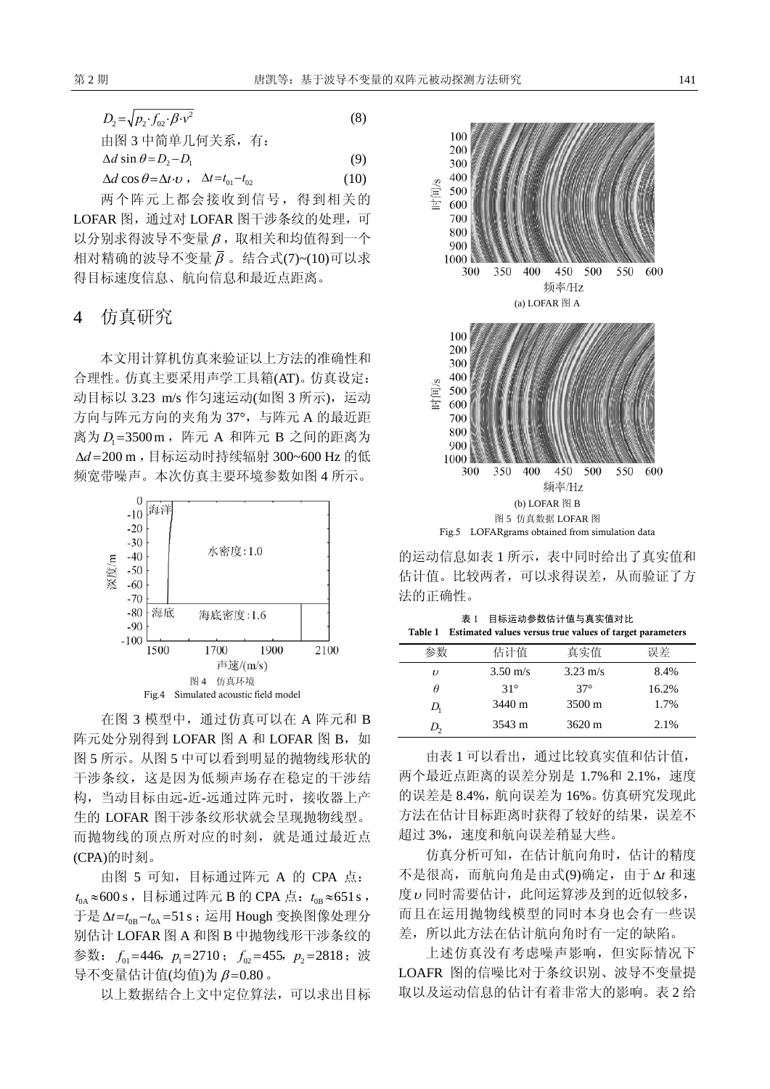| $D_2 = \sqrt{p_2 \cdot f_{02} \cdot \beta \cdot v^2}$                    | (8)   |
|--------------------------------------------------------------------------|-------|
| 由图 3 中简单几何关系, 有:                                                         |       |
| $\Delta d$ sin $\theta = D_2 - D_1$                                      | (9)   |
| $\Delta d \cos \theta = \Delta t \cdot v$ , $\Delta t = t_{01} - t_{02}$ | (10)  |
|                                                                          | 俎列超光的 |

两个阵元上都会接收到信号,得到相关的 LOFAR 图, 通过对 LOFAR 图干涉条纹的处理, 可  $U$  分别求得波导不变量  $\beta$ , 取相关和均值得到一个 相对精确的波导不变量 β 。结合式(7)~(10)可以求 得目标速度信息、航向信息和最近点距离。

#### 4 仿真研究

本文用计算机仿真来验证以上方法的准确性和 合理性。仿真主要采用声学工具箱(AT)。仿真设定: 动目标以 3.23 m/s 作匀速运动(如图 3 所示), 运动 方向与阵元方向的夹角为 37°, 与阵元 A 的最近距 离为 D<sub>1</sub>=3500 m ,阵元 A 和阵元 B 之间的距离为 Δd=200 m ,目标运动时持续辐射 300~600 Hz 的低 频宽带噪声。本次仿真主要环境参数如图 4 所示。



在图 3 模型中,通过仿真可以在 A 阵元和 B 阵元处分别得到 LOFAR 图 A 和 LOFAR 图 B, 如 图 5 所示。从图 5 中可以看到明显的抛物线形状的 干涉条纹,这是因为低频声场存在稳定的干涉结 构,当动目标由远-近-远通过阵元时,接收器上产 生的 LOFAR 图干涉条纹形状就会呈现抛物线型。 而抛物线的顶点所对应的时刻,就是通过最近点 (CPA)的时刻。

由图 5 可知,目标通过阵元 A 的 CPA 点:  $t_{0{\rm A}}$ ≈600 s,目标通过阵元 B 的 CPA 点:  $t_{0{\rm B}}$ ≈651 s, 于是 Δ*t =t*<sub>0B</sub> −*t*<sub>0A</sub> =51s ;运用 Hough 变换图像处理分 别估计 LOFAR 图 A 和图 B 中抛物线形干涉条纹的 参数:  $f_{01}$ =446,  $p_1 = 2710$ ;  $f_{02} = 455$ ,  $p_2 = 2818$ ; 波 导不变量估计值(均值)为 β =0.80 。

以上数据结合上文中定位算法,可以求出目标



的运动信息如表 1 所示,表中同时给出了真实值和 估计值。比较两者,可以求得误差,从而验证了方 法的正确性。

表 1 目标运动参数估计值与真实值对比 Table 1 Estimated values versus true values of target parameters

|               | 估计值                | 真实值                | 误差    |
|---------------|--------------------|--------------------|-------|
| $\mathcal{U}$ | $3.50 \text{ m/s}$ | $3.23 \text{ m/s}$ | 8.4%  |
| θ             | $31^\circ$         | $37^\circ$         | 16.2% |
| D,            | 3440 m             | $3500 \text{ m}$   | 1.7%  |
| $D_{\gamma}$  | 3543 m             | $3620 \text{ m}$   | 2.1%  |

由表 1 可以看出,通过比较真实值和估计值, 两个最近点距离的误差分别是 1.7%和 2.1%, 速度 的误差是 8.4%,航向误差为 16%。仿真研究发现此 方法在估计目标距离时获得了较好的结果,误差不 超过 3%,速度和航向误差稍显大些。

仿真分析可知,在估计航向角时,估计的精度 不是很高,而航向角是由式(9)确定,由于 Δ*t* 和速 度υ同时需要估计,此间运算涉及到的近似较多, 而且在运用抛物线模型的同时本身也会有一些误 差,所以此方法在估计航向角时有一定的缺陷。

上述仿真没有考虑噪声影响,但实际情况下 LOAFR 图的信噪比对于条纹识别、波导不变量提 取以及运动信息的估计有着非常大的影响。表 2 给